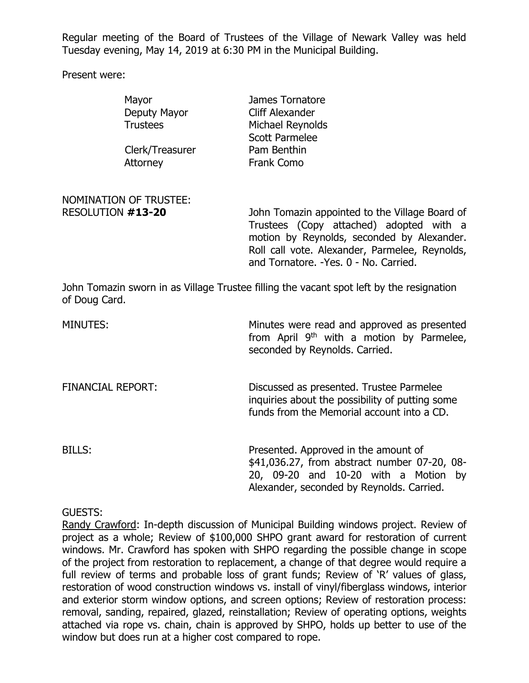Regular meeting of the Board of Trustees of the Village of Newark Valley was held Tuesday evening, May 14, 2019 at 6:30 PM in the Municipal Building.

Present were:

|                   | Mayor                         | James Tornatore                                                                                                                         |
|-------------------|-------------------------------|-----------------------------------------------------------------------------------------------------------------------------------------|
|                   | Deputy Mayor                  | Cliff Alexander                                                                                                                         |
|                   | <b>Trustees</b>               | Michael Reynolds                                                                                                                        |
|                   |                               | <b>Scott Parmelee</b>                                                                                                                   |
|                   | Clerk/Treasurer               | Pam Benthin                                                                                                                             |
|                   | Attorney                      | <b>Frank Como</b>                                                                                                                       |
|                   | <b>NOMINATION OF TRUSTEE:</b> |                                                                                                                                         |
| RESOLUTION #13-20 |                               | John Tomazin appointed to the Village Board of                                                                                          |
|                   |                               | Trustees (Copy attached) adopted with a<br>motion by Reynolds, seconded by Alexander.<br>Roll call vote. Alexander, Parmelee, Reynolds, |
|                   |                               | and Tornatore. - Yes. 0 - No. Carried.                                                                                                  |

John Tomazin sworn in as Village Trustee filling the vacant spot left by the resignation of Doug Card.

| MINUTES:                 | Minutes were read and approved as presented<br>from April 9 <sup>th</sup> with a motion by Parmelee,<br>seconded by Reynolds. Carried.                                    |
|--------------------------|---------------------------------------------------------------------------------------------------------------------------------------------------------------------------|
| <b>FINANCIAL REPORT:</b> | Discussed as presented. Trustee Parmelee<br>inquiries about the possibility of putting some<br>funds from the Memorial account into a CD.                                 |
| BILLS:                   | Presented. Approved in the amount of<br>\$41,036.27, from abstract number 07-20, 08-<br>20, 09-20 and 10-20 with a Motion by<br>Alexander, seconded by Reynolds. Carried. |

GUESTS:

Randy Crawford: In-depth discussion of Municipal Building windows project. Review of project as a whole; Review of \$100,000 SHPO grant award for restoration of current windows. Mr. Crawford has spoken with SHPO regarding the possible change in scope of the project from restoration to replacement, a change of that degree would require a full review of terms and probable loss of grant funds; Review of 'R' values of glass, restoration of wood construction windows vs. install of vinyl/fiberglass windows, interior and exterior storm window options, and screen options; Review of restoration process: removal, sanding, repaired, glazed, reinstallation; Review of operating options, weights attached via rope vs. chain, chain is approved by SHPO, holds up better to use of the window but does run at a higher cost compared to rope.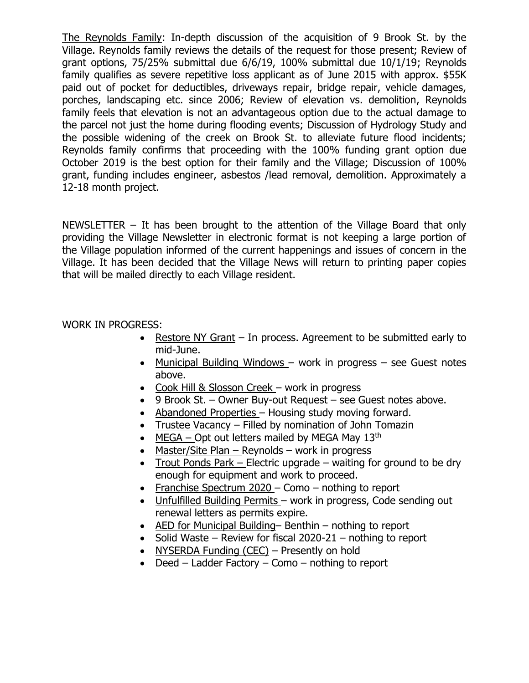The Reynolds Family: In-depth discussion of the acquisition of 9 Brook St. by the Village. Reynolds family reviews the details of the request for those present; Review of grant options, 75/25% submittal due 6/6/19, 100% submittal due 10/1/19; Reynolds family qualifies as severe repetitive loss applicant as of June 2015 with approx. \$55K paid out of pocket for deductibles, driveways repair, bridge repair, vehicle damages, porches, landscaping etc. since 2006; Review of elevation vs. demolition, Reynolds family feels that elevation is not an advantageous option due to the actual damage to the parcel not just the home during flooding events; Discussion of Hydrology Study and the possible widening of the creek on Brook St. to alleviate future flood incidents; Reynolds family confirms that proceeding with the 100% funding grant option due October 2019 is the best option for their family and the Village; Discussion of 100% grant, funding includes engineer, asbestos /lead removal, demolition. Approximately a 12-18 month project.

NEWSLETTER – It has been brought to the attention of the Village Board that only providing the Village Newsletter in electronic format is not keeping a large portion of the Village population informed of the current happenings and issues of concern in the Village. It has been decided that the Village News will return to printing paper copies that will be mailed directly to each Village resident.

## WORK IN PROGRESS:

- Restore NY Grant In process. Agreement to be submitted early to mid-June.
- Municipal Building Windows work in progress see Guest notes above.
- Cook Hill & Slosson Creek work in progress
- 9 Brook St. Owner Buy-out Request see Guest notes above.
- Abandoned Properties Housing study moving forward.
- Trustee Vacancy Filled by nomination of John Tomazin
- MEGA Opt out letters mailed by MEGA May  $13<sup>th</sup>$
- Master/Site Plan Reynolds work in progress
- Trout Ponds Park Electric upgrade waiting for ground to be dry enough for equipment and work to proceed.
- Franchise Spectrum 2020 Como nothing to report
- Unfulfilled Building Permits work in progress, Code sending out renewal letters as permits expire.
- AED for Municipal Building– Benthin nothing to report
- Solid Waste Review for fiscal  $2020-21$  nothing to report
- NYSERDA Funding (CEC) Presently on hold
- Deed Ladder Factory Como nothing to report